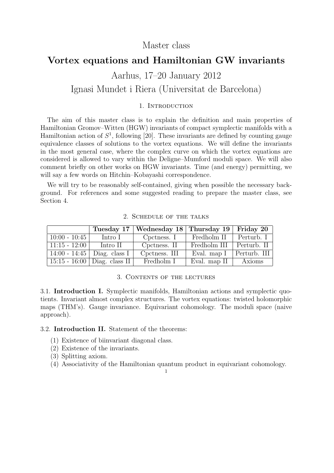## Master class

# **Vortex equations and Hamiltonian GW invariants**

# Aarhus, 17–20 January 2012 Ignasi Mundet i Riera (Universitat de Barcelona)

## 1. INTRODUCTION

The aim of this master class is to explain the definition and main properties of Hamiltonian Gromov–Witten (HGW) invariants of compact symplectic manifolds with a Hamiltonian action of  $S^1$ , following [20]. These invariants are defined by counting gauge equivalence classes of solutions to the vortex equations. We will define the invariants in the most general case, where the complex curve on which the vortex equations are considered is allowed to vary within the Deligne–Mumford moduli space. We will also comment briefly on other works on HGW invariants. Time (and energy) permitting, we will say a few words on Hitchin–Kobayashi correspondence.

We will try to be reasonably self-contained, giving when possible the necessary background. For references and some suggested reading to prepare the master class, see Section 4.

|                 |                                | Tuesday 17   Wednesday 18   Thursday 19 |              | Friday 20    |
|-----------------|--------------------------------|-----------------------------------------|--------------|--------------|
| $10:00 - 10:45$ | Intro I                        | Cpctness. I                             | Fredholm II  | Perturb. I   |
| $11:15 - 12:00$ | Intro II                       | Cpctness. II                            | Fredholm III | Perturb. II  |
|                 | 14:00 - 14:45   Diag. class I  | Cpctness. III                           | Eval. map I  | Perturb. III |
|                 | 15:15 - 16:00   Diag. class II | Fredholm I                              | Eval. map II | Axioms       |

#### 2. Schedule of the talks

#### 3. Contents of the lectures

3.1. **Introduction I.** Symplectic manifolds, Hamiltonian actions and symplectic quotients. Invariant almost complex structures. The vortex equations: twisted holomorphic maps (THM's). Gauge invariance. Equivariant cohomology. The moduli space (naive approach).

### 3.2. **Introduction II.** Statement of the theorems:

- (1) Existence of biinvariant diagonal class.
- (2) Existence of the invariants.
- (3) Splitting axiom.
- (4) Associativity of the Hamiltonian quantum product in equivariant cohomology.

1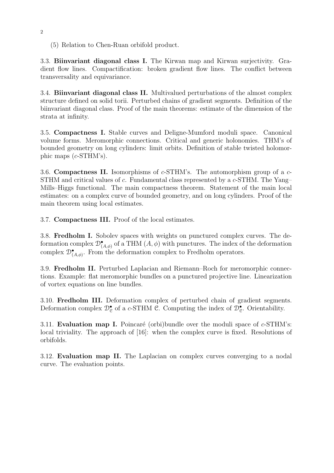(5) Relation to Chen-Ruan orbifold product.

3.3. **Biinvariant diagonal class I.** The Kirwan map and Kirwan surjectivity. Gradient flow lines. Compactification: broken gradient flow lines. The conflict between transversality and equivariance.

3.4. **Biinvariant diagonal class II.** Multivalued perturbations of the almost complex structure defined on solid torii. Perturbed chains of gradient segments. Definition of the biinvariant diagonal class. Proof of the main theorems: estimate of the dimension of the strata at infinity.

3.5. **Compactness I.** Stable curves and Deligne-Mumford moduli space. Canonical volume forms. Meromorphic connections. Critical and generic holonomies. THM's of bounded geometry on long cylinders: limit orbits. Definition of stable twisted holomorphic maps (*c*-STHM's).

3.6. **Compactness II.** Isomorphisms of *c*-STHM's. The automorphism group of a *c*-STHM and critical values of *c*. Fundamental class represented by a *c*-STHM. The Yang– Mills–Higgs functional. The main compactness theorem. Statement of the main local estimates: on a complex curve of bounded geometry, and on long cylinders. Proof of the main theorem using local estimates.

3.7. **Compactness III.** Proof of the local estimates.

3.8. **Fredholm I.** Sobolev spaces with weights on punctured complex curves. The deformation complex  $\mathcal{D}^{\bullet}_{(A,\phi)}$  of a THM  $(A,\phi)$  with punctures. The index of the deformation complex  $\mathcal{D}_{(A,\phi)}^{\bullet}$ . From the deformation complex to Fredholm operators.

3.9. **Fredholm II.** Perturbed Laplacian and Riemann–Roch for meromorphic connections. Example: flat meromorphic bundles on a punctured projective line. Linearization of vortex equations on line bundles.

3.10. **Fredholm III.** Deformation complex of perturbed chain of gradient segments. Deformation complex  $\mathcal{D}_{\mathcal{C}}^{\bullet}$  of a *c*-STHM  $\mathcal{C}$ . Computing the index of  $\mathcal{D}_{\mathcal{C}}^{\bullet}$ . Orientability.

3.11. **Evaluation map I.** Poincar´e (orbi)bundle over the moduli space of *c*-STHM's: local triviality. The approach of [16]: when the complex curve is fixed. Resolutions of orbifolds.

3.12. **Evaluation map II.** The Laplacian on complex curves converging to a nodal curve. The evaluation points.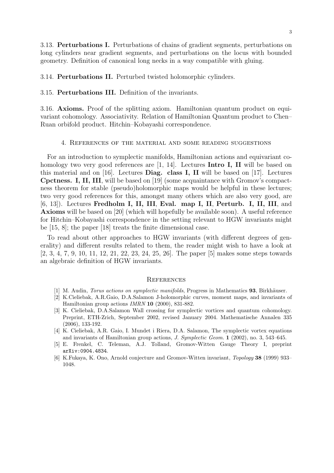3.13. **Perturbations I.** Perturbations of chains of gradient segments, perturbations on long cylinders near gradient segments, and perturbations on the locus with bounded geometry. Definition of canonical long necks in a way compatible with gluing.

3.14. **Perturbations II.** Perturbed twisted holomorphic cylinders.

#### 3.15. **Perturbations III.** Definition of the invariants.

3.16. **Axioms.** Proof of the splitting axiom. Hamiltonian quantum product on equivariant cohomology. Associativity. Relation of Hamiltonian Quantum product to Chen– Ruan orbifold product. Hitchin–Kobayashi correspondence.

#### 4. References of the material and some reading suggestions

For an introduction to symplectic manifolds, Hamiltonian actions and equivariant cohomology two very good references are [1, 14]. Lectures **Intro I, II** will be based on this material and on [16]. Lectures **Diag. class I, II** will be based on [17]. Lectures **Cpctness. I, II, III**, will be based on [19] (some acquaintance with Gromov's compactness theorem for stable (pseudo)holomorphic maps would be helpful in these lectures; two very good references for this, amongst many others which are also very good, are [6, 13]). Lectures **Fredholm I, II, III**, **Eval. map I, II**, **Perturb. I, II, III**, and **Axioms** will be based on [20] (which will hopefully be available soon). A useful reference for Hitchin–Kobayashi correspondence in the setting relevant to HGW invariants might be [15, 8]; the paper [18] treats the finite dimensional case.

To read about other approaches to HGW invariants (with different degrees of generality) and different results related to them, the reader might wish to have a look at [2, 3, 4, 7, 9, 10, 11, 12, 21, 22, 23, 24, 25, 26]. The paper [5] makes some steps towards an algebraic definition of HGW invariants.

#### **REFERENCES**

- [1] M. Audin, *Torus actions on symplectic manifolds*, Progress in Mathematics **93**, Birkh¨auser.
- [2] K.Cieliebak, A.R.Gaio, D.A.Salamon J-holomorphic curves, moment maps, and invariants of Hamiltonian group actions *IMRN* **10** (2000), 831-882.
- [3] K. Cieliebak, D.A.Salamon Wall crossing for symplectic vortices and quantum cohomology. Preprint, ETH-Zrich, September 2002, revised January 2004. Mathematische Annalen 335 (2006), 133-192.
- [4] K. Cieliebak, A.R. Gaio, I. Mundet i Riera, D.A. Salamon, The symplectic vortex equations and invariants of Hamiltonian group actions, *J. Symplectic Geom.* **1** (2002), no. 3, 543–645.
- [5] E. Frenkel, C. Teleman, A.J. Tolland, Gromov-Witten Gauge Theory I, preprint arXiv:0904.4834.
- [6] K.Fukaya, K. Ono, Arnold conjecture and Gromov-Witten invariant, *Topology* **38** (1999) 933– 1048.